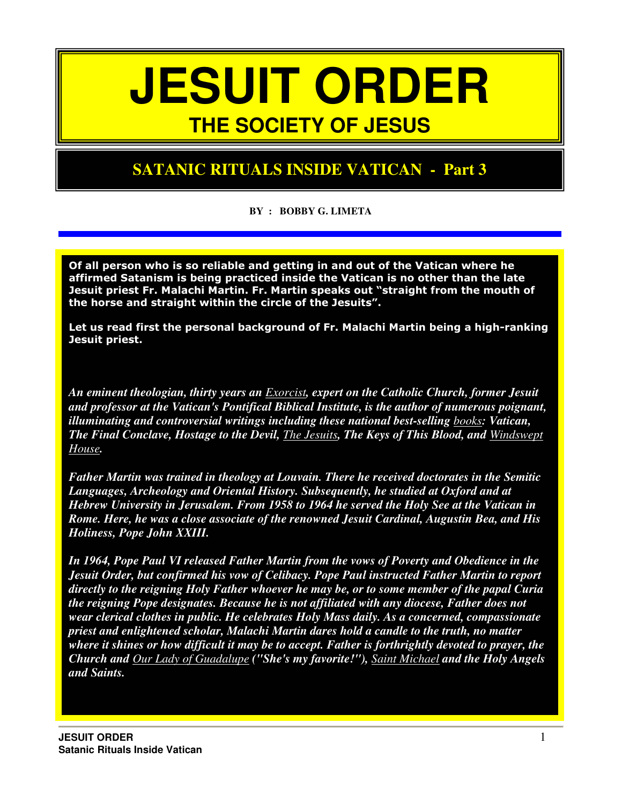## **JESUIT ORDER THE SOCIETY OF JESUS**

#### **SATANIC RITUALS INSIDE VATICAN - Part 3**

**BY : BOBBY G. LIMETA** 

Of all person who is so reliable and getting in and out of the Vatican where he affirmed Satanism is being practiced inside the Vatican is no other than the late Jesuit priest Fr. Malachi Martin. Fr. Martin speaks out "straight from the mouth of the horse and straight within the circle of the Jesuits".

Let us read first the personal background of Fr. Malachi Martin being a high-ranking Jesuit priest.

*An eminent theologian, thirty years an Exorcist, expert on the Catholic Church, former Jesuit and professor at the Vatican's Pontifical Biblical Institute, is the author of numerous poignant, illuminating and controversial writings including these national best-selling books: Vatican, The Final Conclave, Hostage to the Devil, The Jesuits, The Keys of This Blood, and Windswept House.* 

*Father Martin was trained in theology at Louvain. There he received doctorates in the Semitic Languages, Archeology and Oriental History. Subsequently, he studied at Oxford and at Hebrew University in Jerusalem. From 1958 to 1964 he served the Holy See at the Vatican in Rome. Here, he was a close associate of the renowned Jesuit Cardinal, Augustin Bea, and His Holiness, Pope John XXIII.* 

*In 1964, Pope Paul VI released Father Martin from the vows of Poverty and Obedience in the Jesuit Order, but confirmed his vow of Celibacy. Pope Paul instructed Father Martin to report directly to the reigning Holy Father whoever he may be, or to some member of the papal Curia the reigning Pope designates. Because he is not affiliated with any diocese, Father does not wear clerical clothes in public. He celebrates Holy Mass daily. As a concerned, compassionate priest and enlightened scholar, Malachi Martin dares hold a candle to the truth, no matter where it shines or how difficult it may be to accept. Father is forthrightly devoted to prayer, the Church and Our Lady of Guadalupe ("She's my favorite!"), Saint Michael and the Holy Angels and Saints.*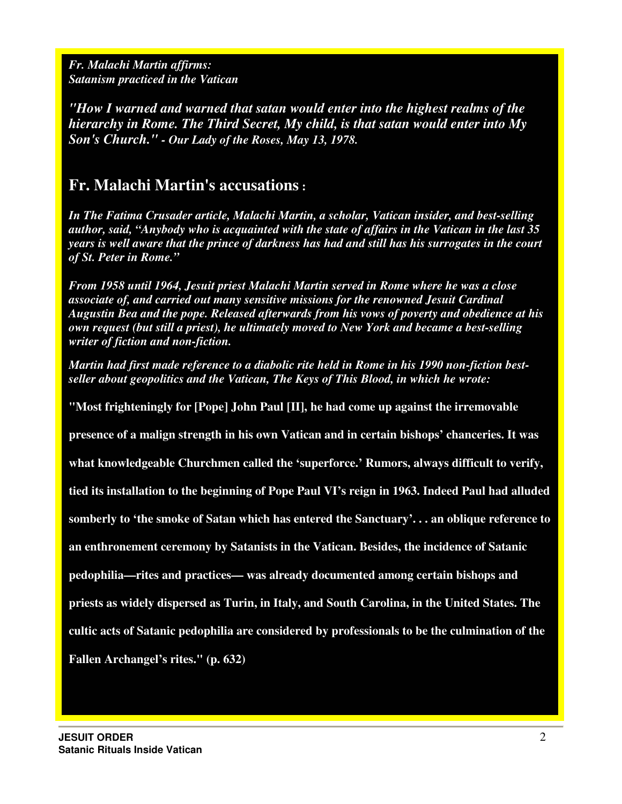*Fr. Malachi Martin affirms: Satanism practiced in the Vatican* 

*"How I warned and warned that satan would enter into the highest realms of the hierarchy in Rome. The Third Secret, My child, is that satan would enter into My Son's Church." - Our Lady of the Roses, May 13, 1978.* 

#### **Fr. Malachi Martin's accusations :**

*In The Fatima Crusader article, Malachi Martin, a scholar, Vatican insider, and best-selling author, said, "Anybody who is acquainted with the state of affairs in the Vatican in the last 35 years is well aware that the prince of darkness has had and still has his surrogates in the court of St. Peter in Rome."* 

*From 1958 until 1964, Jesuit priest Malachi Martin served in Rome where he was a close associate of, and carried out many sensitive missions for the renowned Jesuit Cardinal Augustin Bea and the pope. Released afterwards from his vows of poverty and obedience at his own request (but still a priest), he ultimately moved to New York and became a best-selling writer of fiction and non-fiction.* 

*Martin had first made reference to a diabolic rite held in Rome in his 1990 non-fiction bestseller about geopolitics and the Vatican, The Keys of This Blood, in which he wrote:* 

**"Most frighteningly for [Pope] John Paul [II], he had come up against the irremovable** 

**presence of a malign strength in his own Vatican and in certain bishops' chanceries. It was** 

**what knowledgeable Churchmen called the 'superforce.' Rumors, always difficult to verify,** 

**tied its installation to the beginning of Pope Paul VI's reign in 1963. Indeed Paul had alluded**

**somberly to 'the smoke of Satan which has entered the Sanctuary'. . . an oblique reference to**

**an enthronement ceremony by Satanists in the Vatican. Besides, the incidence of Satanic** 

**pedophilia—rites and practices— was already documented among certain bishops and** 

**priests as widely dispersed as Turin, in Italy, and South Carolina, in the United States. The** 

**cultic acts of Satanic pedophilia are considered by professionals to be the culmination of the** 

**Fallen Archangel's rites." (p. 632)**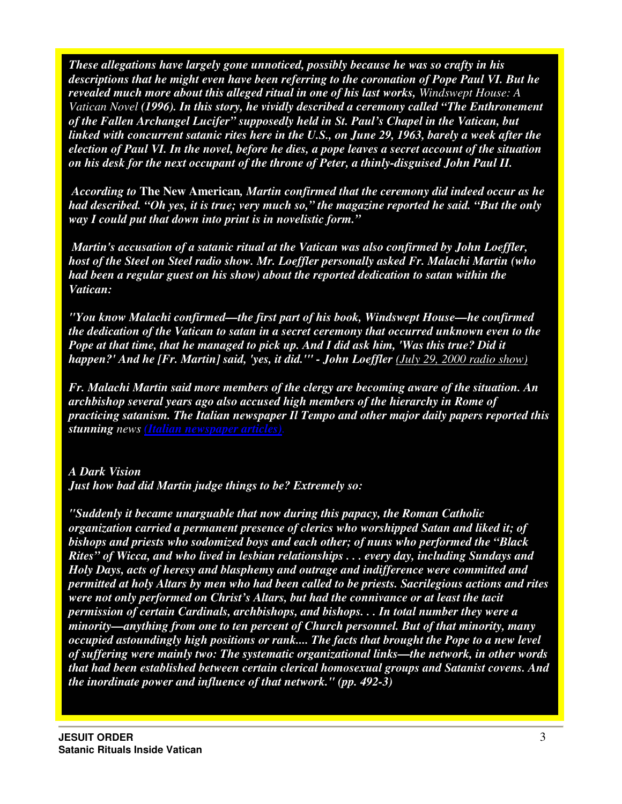*These allegations have largely gone unnoticed, possibly because he was so crafty in his descriptions that he might even have been referring to the coronation of Pope Paul VI. But he revealed much more about this alleged ritual in one of his last works, Windswept House: A Vatican Novel (1996). In this story, he vividly described a ceremony called "The Enthronement of the Fallen Archangel Lucifer" supposedly held in St. Paul's Chapel in the Vatican, but linked with concurrent satanic rites here in the U.S., on June 29, 1963, barely a week after the election of Paul VI. In the novel, before he dies, a pope leaves a secret account of the situation on his desk for the next occupant of the throne of Peter, a thinly-disguised John Paul II.* 

 *According to* **The New American***, Martin confirmed that the ceremony did indeed occur as he had described. "Oh yes, it is true; very much so," the magazine reported he said. "But the only way I could put that down into print is in novelistic form."* 

 *Martin's accusation of a satanic ritual at the Vatican was also confirmed by John Loeffler, host of the Steel on Steel radio show. Mr. Loeffler personally asked Fr. Malachi Martin (who had been a regular guest on his show) about the reported dedication to satan within the Vatican:* 

*"You know Malachi confirmed—the first part of his book, Windswept House—he confirmed the dedication of the Vatican to satan in a secret ceremony that occurred unknown even to the Pope at that time, that he managed to pick up. And I did ask him, 'Was this true? Did it happen?' And he [Fr. Martin] said, 'yes, it did.'" - John Loeffler (July 29, 2000 radio show)* 

*Fr. Malachi Martin said more members of the clergy are becoming aware of the situation. An archbishop several years ago also accused high members of the hierarchy in Rome of practicing satanism. The Italian newspaper Il Tempo and other major daily papers reported this stunning news (Italian newspaper articles).*

#### *A Dark Vision*

*Just how bad did Martin judge things to be? Extremely so:* 

*"Suddenly it became unarguable that now during this papacy, the Roman Catholic organization carried a permanent presence of clerics who worshipped Satan and liked it; of bishops and priests who sodomized boys and each other; of nuns who performed the "Black Rites" of Wicca, and who lived in lesbian relationships . . . every day, including Sundays and Holy Days, acts of heresy and blasphemy and outrage and indifference were committed and permitted at holy Altars by men who had been called to be priests. Sacrilegious actions and rites were not only performed on Christ's Altars, but had the connivance or at least the tacit permission of certain Cardinals, archbishops, and bishops. . . In total number they were a minority—anything from one to ten percent of Church personnel. But of that minority, many occupied astoundingly high positions or rank.... The facts that brought the Pope to a new level of suffering were mainly two: The systematic organizational links—the network, in other words that had been established between certain clerical homosexual groups and Satanist covens. And the inordinate power and influence of that network." (pp. 492-3)*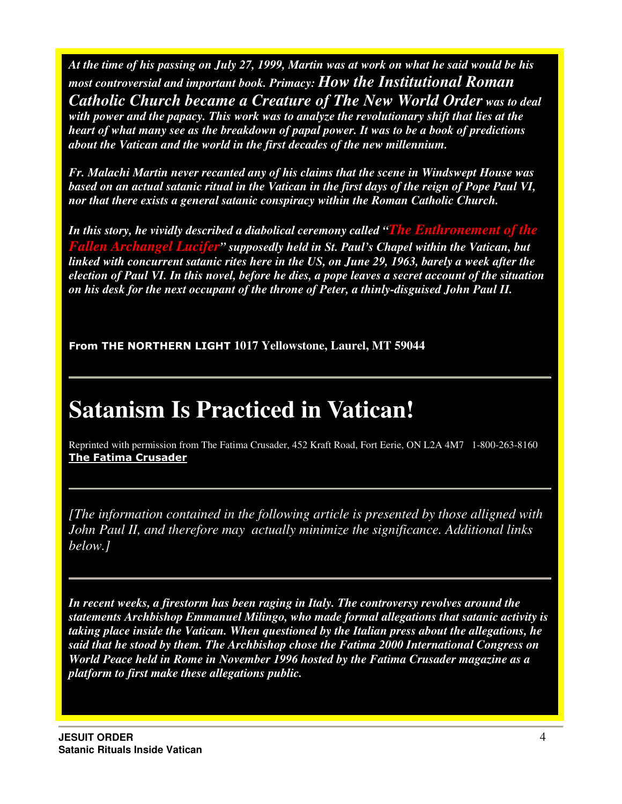*At the time of his passing on July 27, 1999, Martin was at work on what he said would be his most controversial and important book. Primacy: How the Institutional Roman Catholic Church became a Creature of The New World Order was to deal with power and the papacy. This work was to analyze the revolutionary shift that lies at the heart of what many see as the breakdown of papal power. It was to be a book of predictions about the Vatican and the world in the first decades of the new millennium.* 

*Fr. Malachi Martin never recanted any of his claims that the scene in Windswept House was based on an actual satanic ritual in the Vatican in the first days of the reign of Pope Paul VI, nor that there exists a general satanic conspiracy within the Roman Catholic Church.* 

*In this story, he vividly described a diabolical ceremony called "The Enthronement of the hangel Lucifer*" supposedly held in St. Paul's Chapel within the Vatican, but *linked with concurrent satanic rites here in the US, on June 29, 1963, barely a week after the election of Paul VI. In this novel, before he dies, a pope leaves a secret account of the situation on his desk for the next occupant of the throne of Peter, a thinly-disguised John Paul II.* 

From THE NORTHERN LIGHT **1017 Yellowstone, Laurel, MT 59044** 

## **Satanism Is Practiced in Vatican!**

Reprinted with permission from The Fatima Crusader, 452 Kraft Road, Fort Eerie, ON L2A 4M7 1-800-263-8160 The Fatima Crusader

*[The information contained in the following article is presented by those alligned with John Paul II, and therefore may actually minimize the significance. Additional links below.]*

*In recent weeks, a firestorm has been raging in Italy. The controversy revolves around the statements Archbishop Emmanuel Milingo, who made formal allegations that satanic activity is taking place inside the Vatican. When questioned by the Italian press about the allegations, he said that he stood by them. The Archbishop chose the Fatima 2000 International Congress on World Peace held in Rome in November 1996 hosted by the Fatima Crusader magazine as a platform to first make these allegations public.*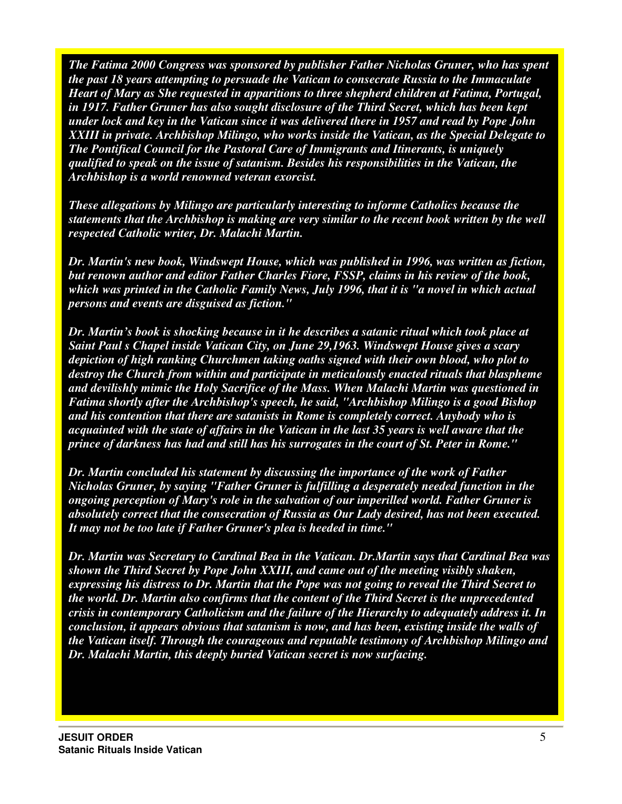*The Fatima 2000 Congress was sponsored by publisher Father Nicholas Gruner, who has spent the past 18 years attempting to persuade the Vatican to consecrate Russia to the Immaculate Heart of Mary as She requested in apparitions to three shepherd children at Fatima, Portugal, in 1917. Father Gruner has also sought disclosure of the Third Secret, which has been kept under lock and key in the Vatican since it was delivered there in 1957 and read by Pope John XXIII in private. Archbishop Milingo, who works inside the Vatican, as the Special Delegate to The Pontifical Council for the Pastoral Care of Immigrants and Itinerants, is uniquely qualified to speak on the issue of satanism. Besides his responsibilities in the Vatican, the Archbishop is a world renowned veteran exorcist.* 

*These allegations by Milingo are particularly interesting to informe Catholics because the statements that the Archbishop is making are very similar to the recent book written by the well respected Catholic writer, Dr. Malachi Martin.* 

*Dr. Martin's new book, Windswept House, which was published in 1996, was written as fiction, but renown author and editor Father Charles Fiore, FSSP, claims in his review of the book, which was printed in the Catholic Family News, July 1996, that it is "a novel in which actual persons and events are disguised as fiction."* 

*Dr. Martin's book is shocking because in it he describes a satanic ritual which took place at Saint Paul s Chapel inside Vatican City, on June 29,1963. Windswept House gives a scary depiction of high ranking Churchmen taking oaths signed with their own blood, who plot to destroy the Church from within and participate in meticulously enacted rituals that blaspheme and devilishly mimic the Holy Sacrifice of the Mass. When Malachi Martin was questioned in Fatima shortly after the Archbishop's speech, he said, "Archbishop Milingo is a good Bishop and his contention that there are satanists in Rome is completely correct. Anybody who is acquainted with the state of affairs in the Vatican in the last 35 years is well aware that the prince of darkness has had and still has his surrogates in the court of St. Peter in Rome."* 

*Dr. Martin concluded his statement by discussing the importance of the work of Father Nicholas Gruner, by saying "Father Gruner is fulfilling a desperately needed function in the ongoing perception of Mary's role in the salvation of our imperilled world. Father Gruner is absolutely correct that the consecration of Russia as Our Lady desired, has not been executed. It may not be too late if Father Gruner's plea is heeded in time."* 

*Dr. Martin was Secretary to Cardinal Bea in the Vatican. Dr.Martin says that Cardinal Bea was shown the Third Secret by Pope John XXIII, and came out of the meeting visibly shaken, expressing his distress to Dr. Martin that the Pope was not going to reveal the Third Secret to the world. Dr. Martin also confirms that the content of the Third Secret is the unprecedented crisis in contemporary Catholicism and the failure of the Hierarchy to adequately address it. In conclusion, it appears obvious that satanism is now, and has been, existing inside the walls of the Vatican itself. Through the courageous and reputable testimony of Archbishop Milingo and Dr. Malachi Martin, this deeply buried Vatican secret is now surfacing.*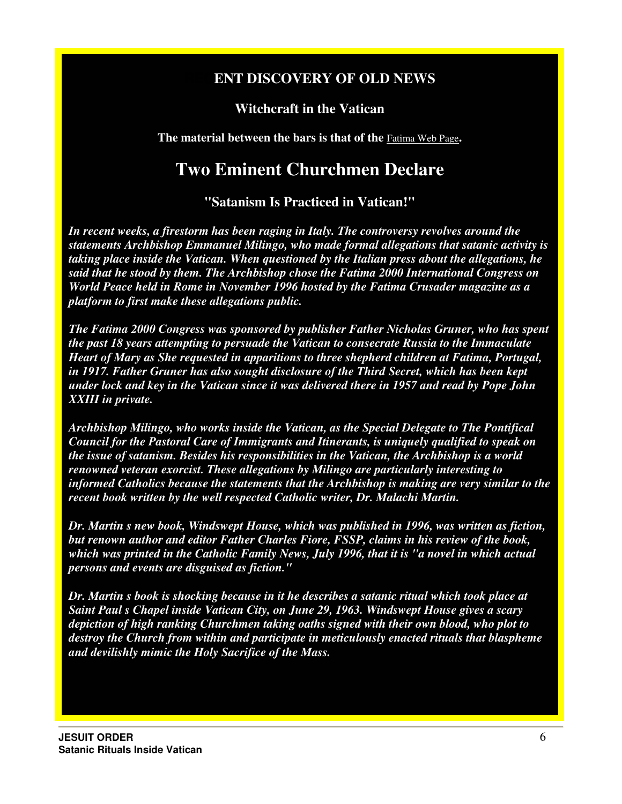#### **ENT DISCOVERY OF OLD NEWS**

#### **Witchcraft in the Vatican**

**The material between the bars is that of the** Fatima Web Page**.**

#### **Two Eminent Churchmen Declare**

**"Satanism Is Practiced in Vatican!"**

*In recent weeks, a firestorm has been raging in Italy. The controversy revolves around the statements Archbishop Emmanuel Milingo, who made formal allegations that satanic activity is taking place inside the Vatican. When questioned by the Italian press about the allegations, he said that he stood by them. The Archbishop chose the Fatima 2000 International Congress on World Peace held in Rome in November 1996 hosted by the Fatima Crusader magazine as a platform to first make these allegations public.* 

*The Fatima 2000 Congress was sponsored by publisher Father Nicholas Gruner, who has spent the past 18 years attempting to persuade the Vatican to consecrate Russia to the Immaculate Heart of Mary as She requested in apparitions to three shepherd children at Fatima, Portugal, in 1917. Father Gruner has also sought disclosure of the Third Secret, which has been kept under lock and key in the Vatican since it was delivered there in 1957 and read by Pope John XXIII in private.* 

*Archbishop Milingo, who works inside the Vatican, as the Special Delegate to The Pontifical Council for the Pastoral Care of Immigrants and Itinerants, is uniquely qualified to speak on the issue of satanism. Besides his responsibilities in the Vatican, the Archbishop is a world renowned veteran exorcist. These allegations by Milingo are particularly interesting to informed Catholics because the statements that the Archbishop is making are very similar to the recent book written by the well respected Catholic writer, Dr. Malachi Martin.* 

*Dr. Martin s new book, Windswept House, which was published in 1996, was written as fiction, but renown author and editor Father Charles Fiore, FSSP, claims in his review of the book, which was printed in the Catholic Family News, July 1996, that it is "a novel in which actual persons and events are disguised as fiction."* 

*Dr. Martin s book is shocking because in it he describes a satanic ritual which took place at Saint Paul s Chapel inside Vatican City, on June 29, 1963. Windswept House gives a scary depiction of high ranking Churchmen taking oaths signed with their own blood, who plot to destroy the Church from within and participate in meticulously enacted rituals that blaspheme and devilishly mimic the Holy Sacrifice of the Mass.*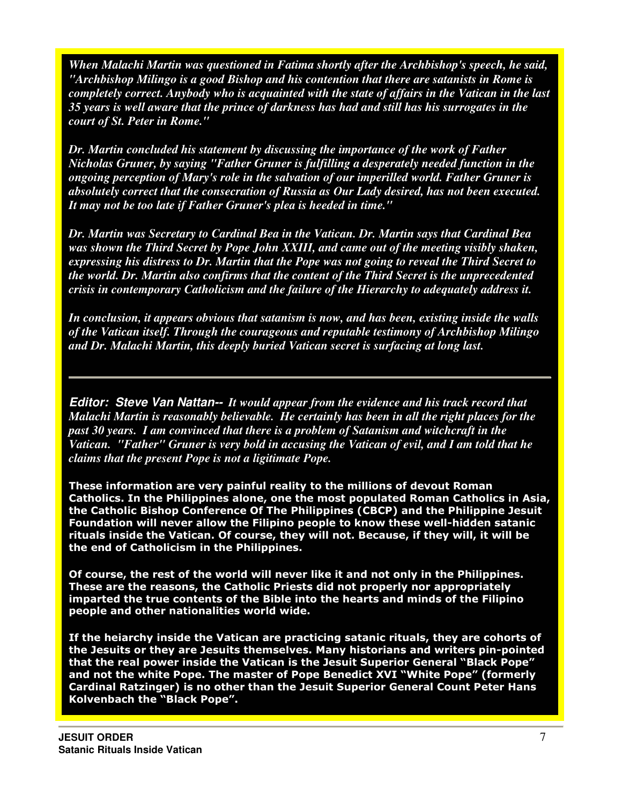*When Malachi Martin was questioned in Fatima shortly after the Archbishop's speech, he said, "Archbishop Milingo is a good Bishop and his contention that there are satanists in Rome is completely correct. Anybody who is acquainted with the state of affairs in the Vatican in the last 35 years is well aware that the prince of darkness has had and still has his surrogates in the court of St. Peter in Rome."* 

*Dr. Martin concluded his statement by discussing the importance of the work of Father Nicholas Gruner, by saying "Father Gruner is fulfilling a desperately needed function in the ongoing perception of Mary's role in the salvation of our imperilled world. Father Gruner is absolutely correct that the consecration of Russia as Our Lady desired, has not been executed. It may not be too late if Father Gruner's plea is heeded in time."* 

*Dr. Martin was Secretary to Cardinal Bea in the Vatican. Dr. Martin says that Cardinal Bea was shown the Third Secret by Pope John XXIII, and came out of the meeting visibly shaken, expressing his distress to Dr. Martin that the Pope was not going to reveal the Third Secret to the world. Dr. Martin also confirms that the content of the Third Secret is the unprecedented crisis in contemporary Catholicism and the failure of the Hierarchy to adequately address it.* 

*In conclusion, it appears obvious that satanism is now, and has been, existing inside the walls of the Vatican itself. Through the courageous and reputable testimony of Archbishop Milingo and Dr. Malachi Martin, this deeply buried Vatican secret is surfacing at long last.* 

**Editor: Steve Van Nattan--** *It would appear from the evidence and his track record that Malachi Martin is reasonably believable. He certainly has been in all the right places for the past 30 years. I am convinced that there is a problem of Satanism and witchcraft in the Vatican. "Father" Gruner is very bold in accusing the Vatican of evil, and I am told that he claims that the present Pope is not a ligitimate Pope.* 

These information are very painful reality to the millions of devout Roman Catholics. In the Philippines alone, one the most populated Roman Catholics in Asia, the Catholic Bishop Conference Of The Philippines (CBCP) and the Philippine Jesuit Foundation will never allow the Filipino people to know these well-hidden satanic rituals inside the Vatican. Of course, they will not. Because, if they will, it will be the end of Catholicism in the Philippines.

Of course, the rest of the world will never like it and not only in the Philippines. These are the reasons, the Catholic Priests did not properly nor appropriately imparted the true contents of the Bible into the hearts and minds of the Filipino people and other nationalities world wide.

If the heiarchy inside the Vatican are practicing satanic rituals, they are cohorts of the Jesuits or they are Jesuits themselves. Many historians and writers pin-pointed that the real power inside the Vatican is the Jesuit Superior General "Black Pope" and not the white Pope. The master of Pope Benedict XVI "White Pope" (formerly Cardinal Ratzinger) is no other than the Jesuit Superior General Count Peter Hans Kolvenbach the "Black Pope".